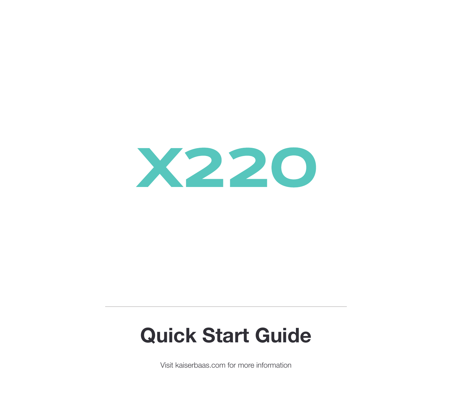

# **Quick Start Guide**

Visit kaiserbaas.com for more information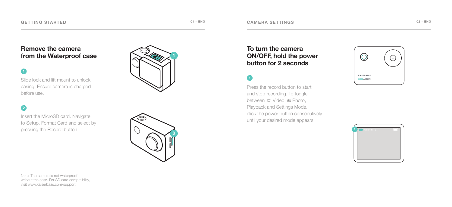### **Remove the camera from the Waterproof case**



Slide lock and lift mount to unlock casing. Ensure camera is charged before use.

# **2**

Insert the MicroSD card. Navigate to Setup, Format Card and select by pressing the Record button.





### **To turn the camera ON/OFF, hold the power button for 2 seconds**

Press the record button to start and stop recording. To toggle between **D** Video, <sup>®</sup> Photo, Playback and Settings Mode, click the power button consecutively until your desired mode appears.





Note: The camera is not waterproof without the case. For SD card compatibility, visit www.kaiserbaas.com/support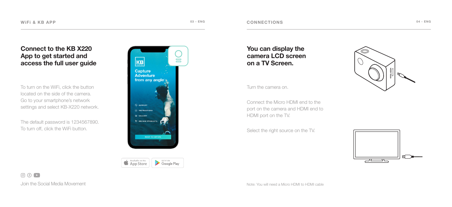## **Connect to the KB X220 App to get started and access the full user guide**

To turn on the WiFi, click the button located on the side of the camera. Go to your smartphone's network settings and select KB-X220 network.

The default password is 1234567890. To turn off, click the WiFi button.





**You can display the camera LCD screen on a TV Screen.**

Turn the camera on.

Connect the Micro HDMI end to the port on the camera and HDMI end to HDMI port on the TV.

Select the right source on the TV.





 $\circ$   $\circ$   $\bullet$ Join the Social Media Movement

Note: You will need a Micro HDMI to HDMI cable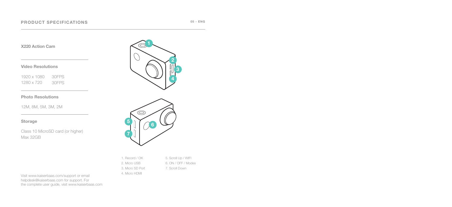**X220 Action Cam**

**Video Resolutions** 

1920 x 1080 1280 x 720 30FPS 30FPS

### **Photo Resolutions**

12M, 8M, 5M, 3M, 2M

### **Storage**

Class 10 MicroSD card (or higher) Max 32GB





5. Scroll Up / WIFI 6. ON / OFF / Modes 7. Scroll Down

1. Record / OK 2. Micro USB 3. Micro SD Port 4. Micro HDMI

Visit www.kaiserbaas.com/support or email helpdesk@kaiserbaas.com for support. For the complete user guide, visit www.kaiserbaas.com **05 - ENG**